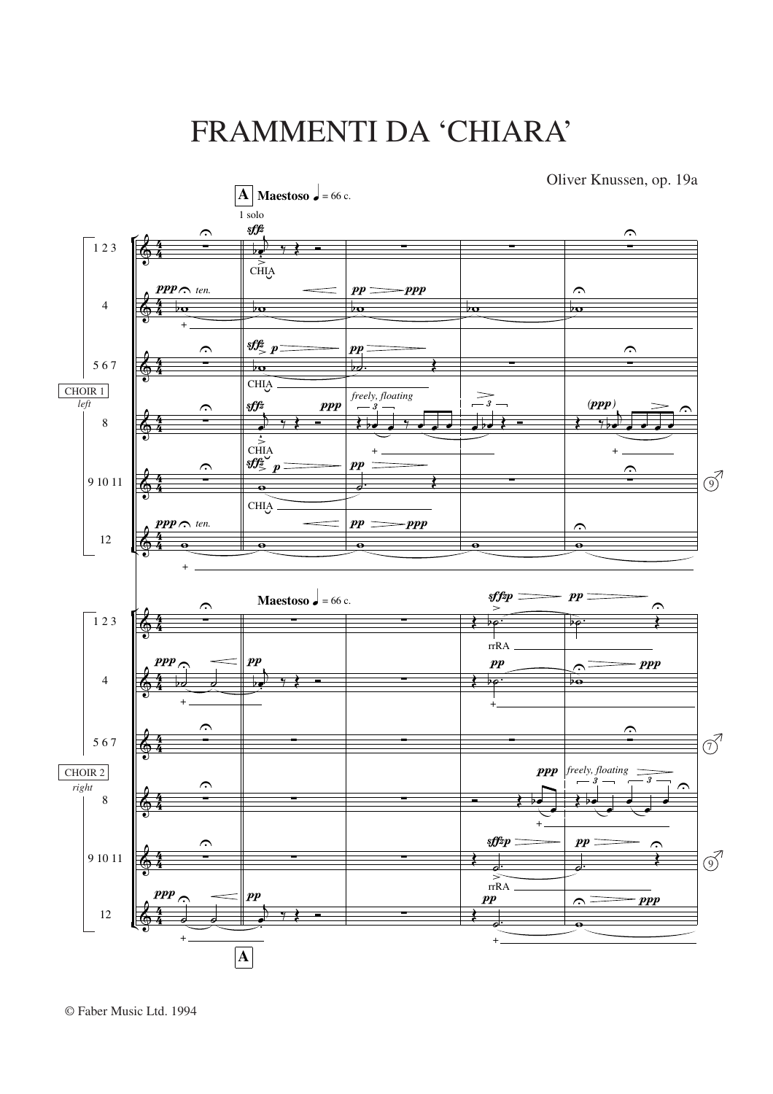## FRAMMENTI DA 'CHIARA'



© Faber Music Ltd. 1994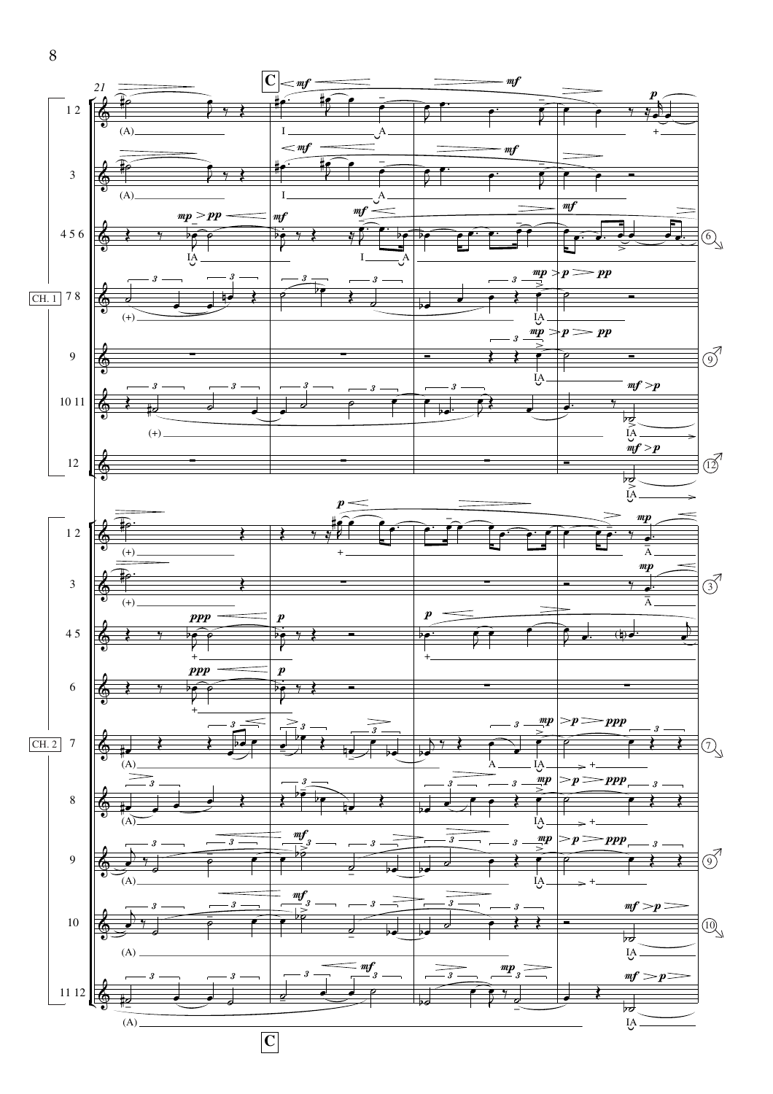

6 8